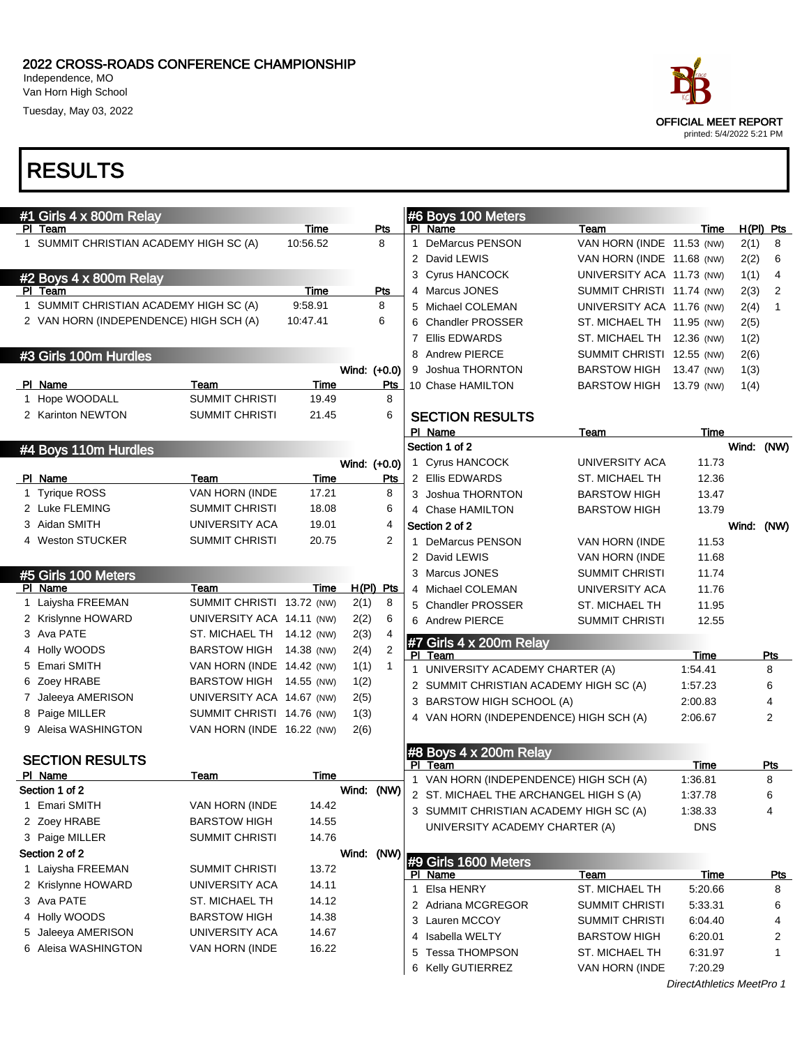Independence, MO Van Horn High School

Tuesday, May 03, 2022

| #1 Girls 4 x 800m Relay                |                           |          |       |                | #6 Boys 100 Meters                     |                           |                           |      |                |
|----------------------------------------|---------------------------|----------|-------|----------------|----------------------------------------|---------------------------|---------------------------|------|----------------|
| PI Team                                |                           | Time     |       | Pts            | PI Name                                | Team                      | Time                      |      | $H(PI)$ Pts    |
| 1 SUMMIT CHRISTIAN ACADEMY HIGH SC (A) |                           | 10:56.52 |       | 8              | 1 DeMarcus PENSON                      | VAN HORN (INDE 11.53 (NW) |                           | 2(1) | 8              |
|                                        |                           |          |       |                | 2 David LEWIS                          | VAN HORN (INDE 11.68 (NW) |                           | 2(2) | 6              |
| #2 Boys 4 x 800m Relay                 |                           |          |       |                | 3 Cyrus HANCOCK                        | UNIVERSITY ACA 11.73 (NW) |                           | 1(1) | 4              |
| PI Team                                |                           | Time     |       | Pts            | 4 Marcus JONES                         | SUMMIT CHRISTI 11.74 (NW) |                           | 2(3) | $\overline{2}$ |
| 1 SUMMIT CHRISTIAN ACADEMY HIGH SC (A) |                           | 9:58.91  |       | 8              | 5 Michael COLEMAN                      | UNIVERSITY ACA 11.76 (NW) |                           | 2(4) | 1              |
| 2 VAN HORN (INDEPENDENCE) HIGH SCH (A) |                           | 10:47.41 |       | 6              | 6 Chandler PROSSER                     | ST. MICHAEL TH 11.95 (NW) |                           | 2(5) |                |
|                                        |                           |          |       |                | 7 Ellis EDWARDS                        | ST. MICHAEL TH 12.36 (NW) |                           | 1(2) |                |
| #3 Girls 100m Hurdles                  |                           |          |       |                | 8 Andrew PIERCE                        | SUMMIT CHRISTI 12.55 (NW) |                           | 2(6) |                |
|                                        |                           |          |       | Wind: (+0.0)   | 9 Joshua THORNTON                      | <b>BARSTOW HIGH</b>       | 13.47 (NW)                | 1(3) |                |
| PI Name                                | Team                      | Time     |       | Pts            | 10 Chase HAMILTON                      | BARSTOW HIGH 13.79 (NW)   |                           | 1(4) |                |
| 1 Hope WOODALL                         | SUMMIT CHRISTI            | 19.49    |       | 8              |                                        |                           |                           |      |                |
| 2 Karinton NEWTON                      | <b>SUMMIT CHRISTI</b>     | 21.45    |       | 6              | <b>SECTION RESULTS</b>                 |                           |                           |      |                |
|                                        |                           |          |       |                | PI Name                                | Team                      | Time                      |      |                |
| #4 Boys 110m Hurdles                   |                           |          |       |                | Section 1 of 2                         |                           |                           |      | Wind: (NW)     |
|                                        |                           |          |       | Wind: (+0.0)   | 1 Cyrus HANCOCK                        | UNIVERSITY ACA            | 11.73                     |      |                |
| PI Name                                | Team                      | Time     |       | Pts            | 2 Ellis EDWARDS                        | <b>ST. MICHAEL TH</b>     | 12.36                     |      |                |
| 1 Tyrique ROSS                         | VAN HORN (INDE            | 17.21    |       | 8              | 3 Joshua THORNTON                      | <b>BARSTOW HIGH</b>       | 13.47                     |      |                |
| 2 Luke FLEMING                         | <b>SUMMIT CHRISTI</b>     | 18.08    |       | 6              | 4 Chase HAMILTON                       | <b>BARSTOW HIGH</b>       | 13.79                     |      |                |
| 3 Aidan SMITH                          | UNIVERSITY ACA            | 19.01    |       | $\overline{4}$ | Section 2 of 2                         |                           |                           |      | Wind: (NW)     |
| 4 Weston STUCKER                       | <b>SUMMIT CHRISTI</b>     | 20.75    |       | 2              | 1 DeMarcus PENSON                      | VAN HORN (INDE            | 11.53                     |      |                |
|                                        |                           |          |       |                | 2 David LEWIS                          | VAN HORN (INDE            | 11.68                     |      |                |
| #5 Girls 100 Meters                    |                           |          |       |                | 3 Marcus JONES                         | SUMMIT CHRISTI            | 11.74                     |      |                |
| PI Name                                | Team                      | Time     |       | $H(PI)$ Pts    | 4 Michael COLEMAN                      | UNIVERSITY ACA            | 11.76                     |      |                |
| 1 Laiysha FREEMAN                      | SUMMIT CHRISTI 13.72 (NW) |          | 2(1)  | 8              | 5 Chandler PROSSER                     | ST. MICHAEL TH            | 11.95                     |      |                |
| 2 Krislynne HOWARD                     | UNIVERSITY ACA 14.11 (NW) |          | 2(2)  | 6              | 6 Andrew PIERCE                        | SUMMIT CHRISTI            | 12.55                     |      |                |
| 3 Ava PATE                             | ST. MICHAEL TH 14.12 (NW) |          | 2(3)  | $\overline{4}$ | #7 Girls 4 x 200m Relay                |                           |                           |      |                |
| 4 Holly WOODS                          | BARSTOW HIGH 14.38 (NW)   |          | 2(4)  | 2              | PI Team                                |                           | Time                      |      | Pts            |
| 5 Emari SMITH                          | VAN HORN (INDE 14.42 (NW) |          | 1(1)  | 1              | 1 UNIVERSITY ACADEMY CHARTER (A)       |                           | 1:54.41                   |      | 8              |
| 6 Zoey HRABE                           | BARSTOW HIGH 14.55 (NW)   |          | 1(2)  |                | 2 SUMMIT CHRISTIAN ACADEMY HIGH SC (A) |                           | 1:57.23                   |      | 6              |
| 7 Jaleeya AMERISON                     | UNIVERSITY ACA 14.67 (NW) |          | 2(5)  |                | 3 BARSTOW HIGH SCHOOL (A)              |                           | 2:00.83                   |      |                |
| 8 Paige MILLER                         | SUMMIT CHRISTI 14.76 (NW) |          | 1(3)  |                | 4 VAN HORN (INDEPENDENCE) HIGH SCH (A) |                           | 2:06.67                   |      | 2              |
| 9 Aleisa WASHINGTON                    | VAN HORN (INDE 16.22 (NW) |          | 2(6)  |                |                                        |                           |                           |      |                |
|                                        |                           |          |       |                | #8 Boys 4 x 200m Relay                 |                           |                           |      |                |
| <b>SECTION RESULTS</b>                 |                           |          |       |                | PI Team                                |                           | Time                      |      | <u>Pts</u>     |
| PI Name                                | Team                      | Time     |       |                | 1 VAN HORN (INDEPENDENCE) HIGH SCH (A) |                           | 1:36.81                   |      | 8              |
| Section 1 of 2                         |                           |          | Wind: | (NW)           | 2 ST. MICHAEL THE ARCHANGEL HIGH S (A) |                           | 1:37.78                   |      | 6              |
| 1 Emari SMITH                          | VAN HORN (INDE            | 14.42    |       |                | 3 SUMMIT CHRISTIAN ACADEMY HIGH SC (A) |                           | 1:38.33                   |      | 4              |
| 2 Zoey HRABE                           | <b>BARSTOW HIGH</b>       | 14.55    |       |                | UNIVERSITY ACADEMY CHARTER (A)         |                           | DNS                       |      |                |
| 3 Paige MILLER                         | <b>SUMMIT CHRISTI</b>     | 14.76    |       |                |                                        |                           |                           |      |                |
| Section 2 of 2                         |                           |          | Wind: | (NW)           | #9 Girls 1600 Meters                   |                           |                           |      |                |
| 1 Laiysha FREEMAN                      | <b>SUMMIT CHRISTI</b>     | 13.72    |       |                | PI Name                                | Team                      | <b>Time</b>               |      | <u>Pts</u>     |
| 2 Krislynne HOWARD                     | UNIVERSITY ACA            | 14.11    |       |                | 1 Elsa HENRY                           | ST. MICHAEL TH            | 5:20.66                   |      | 8              |
| 3 Ava PATE                             | ST. MICHAEL TH            | 14.12    |       |                | 2 Adriana MCGREGOR                     | <b>SUMMIT CHRISTI</b>     | 5:33.31                   |      | 6              |
| 4 Holly WOODS                          | <b>BARSTOW HIGH</b>       | 14.38    |       |                | 3 Lauren MCCOY                         | <b>SUMMIT CHRISTI</b>     | 6:04.40                   |      | 4              |
| 5 Jaleeya AMERISON                     | UNIVERSITY ACA            | 14.67    |       |                | 4 Isabella WELTY                       | <b>BARSTOW HIGH</b>       | 6:20.01                   |      | 2              |
| 6 Aleisa WASHINGTON                    | VAN HORN (INDE            | 16.22    |       |                | 5 Tessa THOMPSON                       | ST. MICHAEL TH            | 6:31.97                   |      | 1              |
|                                        |                           |          |       |                | 6 Kelly GUTIERREZ                      | VAN HORN (INDE            | 7:20.29                   |      |                |
|                                        |                           |          |       |                |                                        |                           | DirectAthletics MeetPro 1 |      |                |

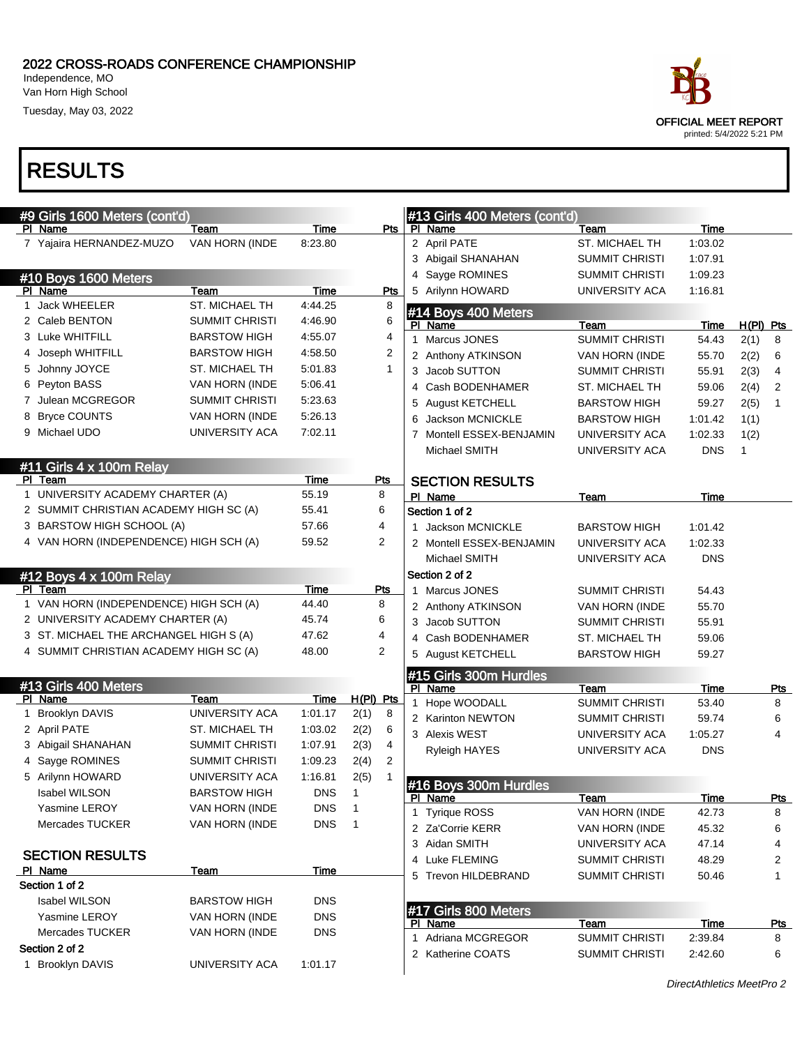Independence, MO Van Horn High School

Tuesday, May 03, 2022

## RESULTS

| #9 Girls 1600 Meters (cont'd)                                       |                       |               |                 |   | #13 Girls 400 Meters (cont'd)   |                        |               |             |                 |
|---------------------------------------------------------------------|-----------------------|---------------|-----------------|---|---------------------------------|------------------------|---------------|-------------|-----------------|
| PI Name                                                             | Team                  | Time          | Pts             |   | PI Name                         | <b>Team</b>            | Time          |             |                 |
| 7 Yajaira HERNANDEZ-MUZO                                            | VAN HORN (INDE        | 8:23.80       |                 |   | 2 April PATE                    | <b>ST. MICHAEL TH</b>  | 1:03.02       |             |                 |
|                                                                     |                       |               |                 |   | 3 Abigail SHANAHAN              | <b>SUMMIT CHRISTI</b>  | 1:07.91       |             |                 |
| #10 Boys 1600 Meters                                                |                       |               |                 |   | 4 Sayge ROMINES                 | SUMMIT CHRISTI         | 1:09.23       |             |                 |
| PI Name                                                             | Team                  | Time          | Pts             |   | 5 Arilynn HOWARD                | UNIVERSITY ACA         | 1:16.81       |             |                 |
| 1 Jack WHEELER                                                      | ST. MICHAEL TH        | 4:44.25       | 8               |   | #14 Boys 400 Meters             |                        |               |             |                 |
| 2 Caleb BENTON                                                      | <b>SUMMIT CHRISTI</b> | 4:46.90       | 6               |   | PI Name                         | Team                   | Time          | $H(PI)$ Pts |                 |
| 3 Luke WHITFILL                                                     | <b>BARSTOW HIGH</b>   | 4:55.07       | 4               |   | 1 Marcus JONES                  | <b>SUMMIT CHRISTI</b>  | 54.43         | 2(1)        | 8               |
| 4 Joseph WHITFILL                                                   | <b>BARSTOW HIGH</b>   | 4:58.50       | 2               |   | 2 Anthony ATKINSON              | VAN HORN (INDE         | 55.70         | 2(2)        | 6               |
| 5 Johnny JOYCE                                                      | ST. MICHAEL TH        | 5:01.83       | 1               |   | 3 Jacob SUTTON                  | <b>SUMMIT CHRISTI</b>  | 55.91         | 2(3)        | 4               |
| 6 Peyton BASS                                                       | VAN HORN (INDE        | 5.06.41       |                 |   | 4 Cash BODENHAMER               | ST. MICHAEL TH         | 59.06         | 2(4)        | $\overline{2}$  |
| 7 Julean MCGREGOR                                                   | <b>SUMMIT CHRISTI</b> | 5:23.63       |                 | 5 | <b>August KETCHELL</b>          | <b>BARSTOW HIGH</b>    | 59.27         | 2(5)        | $\mathbf{1}$    |
| 8 Bryce COUNTS                                                      | VAN HORN (INDE        | 5:26.13       |                 | 6 | Jackson MCNICKLE                | <b>BARSTOW HIGH</b>    | 1:01.42       | 1(1)        |                 |
| 9 Michael UDO                                                       | UNIVERSITY ACA        | 7:02.11       |                 |   | 7 Montell ESSEX-BENJAMIN        | UNIVERSITY ACA         | 1:02.33       | 1(2)        |                 |
|                                                                     |                       |               |                 |   | Michael SMITH                   | UNIVERSITY ACA         | <b>DNS</b>    | 1           |                 |
| #11 Girls 4 x 100m Relay                                            |                       |               |                 |   |                                 |                        |               |             |                 |
| PI Team                                                             |                       | Time          | <u>Pts</u>      |   | <b>SECTION RESULTS</b>          |                        |               |             |                 |
| 1 UNIVERSITY ACADEMY CHARTER (A)                                    |                       | 55.19         | 8               |   | PI Name                         | Team                   | Time          |             |                 |
| 2 SUMMIT CHRISTIAN ACADEMY HIGH SC (A)<br>3 BARSTOW HIGH SCHOOL (A) |                       | 55.41         | 6<br>4          |   | Section 1 of 2                  |                        |               |             |                 |
|                                                                     |                       | 57.66         |                 |   | Jackson MCNICKLE                | <b>BARSTOW HIGH</b>    | 1:01.42       |             |                 |
| 4 VAN HORN (INDEPENDENCE) HIGH SCH (A)                              |                       | 59.52         | 2               |   | 2 Montell ESSEX-BENJAMIN        | UNIVERSITY ACA         | 1:02.33       |             |                 |
|                                                                     |                       |               |                 |   | Michael SMITH                   | UNIVERSITY ACA         | <b>DNS</b>    |             |                 |
| #12 Boys 4 x 100m Relay                                             |                       |               |                 |   | Section 2 of 2                  |                        |               |             |                 |
| PI Team<br>1 VAN HORN (INDEPENDENCE) HIGH SCH (A)                   |                       | Time<br>44.40 | <u>Pts</u><br>8 |   | 1 Marcus JONES                  | SUMMIT CHRISTI         | 54.43         |             |                 |
| 2 UNIVERSITY ACADEMY CHARTER (A)                                    |                       | 45.74         | 6               |   | 2 Anthony ATKINSON              | VAN HORN (INDE         | 55.70         |             |                 |
| 3 ST. MICHAEL THE ARCHANGEL HIGH S (A)                              |                       | 47.62         | 4               |   | 3 Jacob SUTTON                  | SUMMIT CHRISTI         | 55.91         |             |                 |
| 4 SUMMIT CHRISTIAN ACADEMY HIGH SC (A)                              |                       | 48.00         | 2               |   | 4 Cash BODENHAMER               | ST. MICHAEL TH         | 59.06         |             |                 |
|                                                                     |                       |               |                 |   | 5 August KETCHELL               | BARSTOW HIGH           | 59.27         |             |                 |
|                                                                     |                       |               |                 |   | #15 Girls 300m Hurdles          |                        |               |             |                 |
| #13 Girls 400 Meters<br>PI Name                                     | Team                  | Time          | H(PI) Pts       |   | PI Name                         | Team                   | Time          |             | <u>Pts</u>      |
| 1 Brooklyn DAVIS                                                    | UNIVERSITY ACA        | 1:01.17       | 8<br>2(1)       |   | 1 Hope WOODALL                  | <b>SUMMIT CHRISTI</b>  | 53.40         |             | 8               |
| 2 April PATE                                                        | ST. MICHAEL TH        | 1:03.02       | 6<br>2(2)       |   | 2 Karinton NEWTON               | SUMMIT CHRISTI         | 59.74         |             | 6               |
| 3 Abigail SHANAHAN                                                  | <b>SUMMIT CHRISTI</b> | 1:07.91       | 4<br>2(3)       |   | 3 Alexis WEST                   | UNIVERSITY ACA         | 1:05.27       |             | 4               |
| 4 Sayge ROMINES                                                     | SUMMIT CHRISTI        | 1:09.23       | 2<br>2(4)       |   | <b>Ryleigh HAYES</b>            | UNIVERSITY ACA         | <b>DNS</b>    |             |                 |
| 5 Arilynn HOWARD                                                    | UNIVERSITY ACA        | 1:16.81       | 2(5)            |   |                                 |                        |               |             |                 |
| <b>Isabel WILSON</b>                                                | <b>BARSTOW HIGH</b>   | <b>DNS</b>    | $\mathbf{1}$    |   | #16 Boys 300m Hurdles           |                        |               |             |                 |
| Yasmine LEROY                                                       | VAN HORN (INDE        | <b>DNS</b>    | $\overline{1}$  |   | PI Name<br>1 Tyrique ROSS       | Team<br>VAN HORN (INDE | Time<br>42.73 |             | <b>Pts</b><br>8 |
| <b>Mercades TUCKER</b>                                              | <b>VAN HORN (INDE</b> | <b>DNS</b>    | $\overline{1}$  |   | 2 Za'Corrie KERR                | VAN HORN (INDE         | 45.32         |             | 6               |
|                                                                     |                       |               |                 |   | 3 Aidan SMITH                   | UNIVERSITY ACA         | 47.14         |             | 4               |
| <b>SECTION RESULTS</b>                                              |                       |               |                 |   | 4 Luke FLEMING                  | SUMMIT CHRISTI         | 48.29         |             | $\overline{2}$  |
| PI Name                                                             | Team                  | Time          |                 |   | 5 Trevon HILDEBRAND             | <b>SUMMIT CHRISTI</b>  | 50.46         |             | 1               |
| Section 1 of 2                                                      |                       |               |                 |   |                                 |                        |               |             |                 |
| Isabel WILSON                                                       | <b>BARSTOW HIGH</b>   | <b>DNS</b>    |                 |   |                                 |                        |               |             |                 |
| Yasmine LEROY                                                       | VAN HORN (INDE        | <b>DNS</b>    |                 |   | #17 Girls 800 Meters<br>PI Name | Team                   | Time          |             | <u>Pts</u>      |
| Mercades TUCKER                                                     | VAN HORN (INDE        | <b>DNS</b>    |                 |   | 1 Adriana MCGREGOR              | SUMMIT CHRISTI         | 2:39.84       |             | 8               |
| Section 2 of 2                                                      |                       |               |                 |   | 2 Katherine COATS               | <b>SUMMIT CHRISTI</b>  | 2:42.60       |             | 6               |
| 1 Brooklyn DAVIS                                                    | UNIVERSITY ACA        | 1:01.17       |                 |   |                                 |                        |               |             |                 |
|                                                                     |                       |               |                 |   |                                 |                        |               |             |                 |

DirectAthletics MeetPro 2

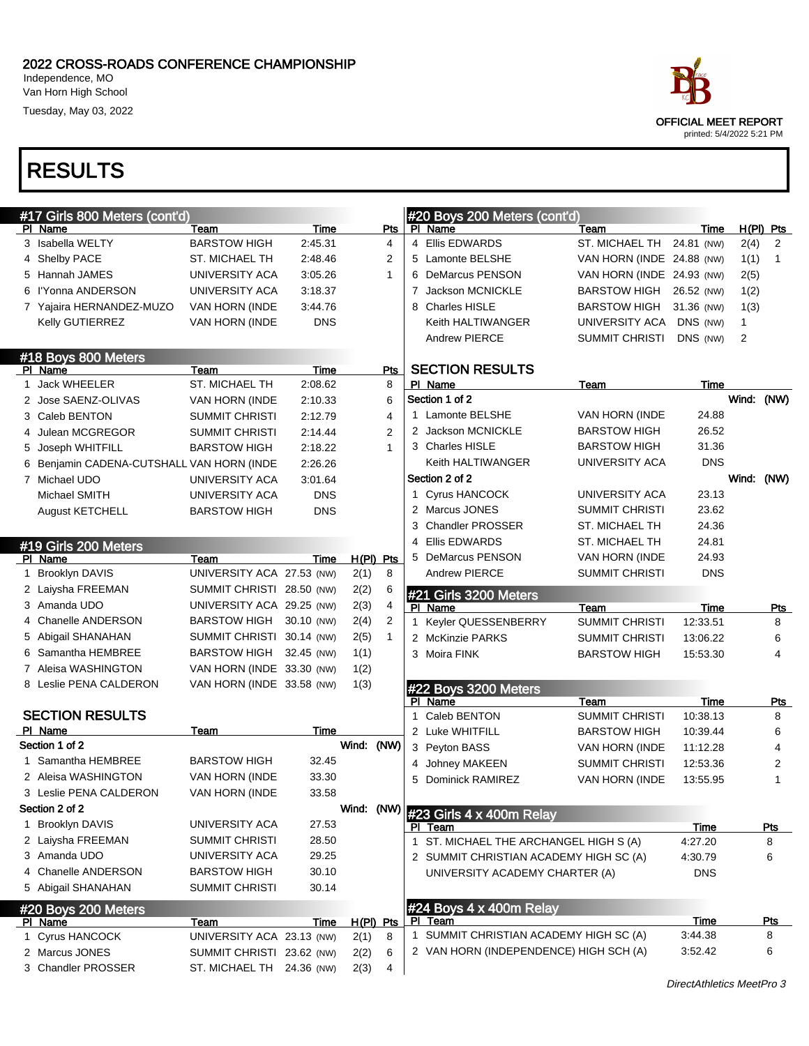Independence, MO Van Horn High School

Tuesday, May 03, 2022



| #17 Girls 800 Meters (cont'd) |                                           |                           |            |            | #20 Boys 200 Meters (cont'd) |             |                                        |                           |             |              |              |
|-------------------------------|-------------------------------------------|---------------------------|------------|------------|------------------------------|-------------|----------------------------------------|---------------------------|-------------|--------------|--------------|
|                               | PI Name                                   | Team                      | Time       |            | Pts                          |             | PI Name                                | Team                      | Time        |              | H(PI) Pts    |
|                               | 3 Isabella WELTY                          | <b>BARSTOW HIGH</b>       | 2:45.31    |            | 4                            |             | 4 Ellis EDWARDS                        | ST. MICHAEL TH            | 24.81 (NW)  | 2(4)         | 2            |
|                               | 4 Shelby PACE                             | ST. MICHAEL TH            | 2:48.46    |            | 2                            |             | 5 Lamonte BELSHE                       | VAN HORN (INDE 24.88 (NW) |             | 1(1)         | $\mathbf{1}$ |
|                               | 5 Hannah JAMES                            | UNIVERSITY ACA            | 3:05.26    |            | 1                            |             | 6 DeMarcus PENSON                      | VAN HORN (INDE 24.93 (NW) |             | 2(5)         |              |
|                               | 6 l'Yonna ANDERSON                        | UNIVERSITY ACA            | 3:18.37    |            |                              | 7           | Jackson MCNICKLE                       | <b>BARSTOW HIGH</b>       | 26.52 (NW)  | 1(2)         |              |
|                               | 7 Yajaira HERNANDEZ-MUZO                  | VAN HORN (INDE            | 3:44.76    |            |                              |             | 8 Charles HISLE                        | <b>BARSTOW HIGH</b>       | 31.36 (NW)  | 1(3)         |              |
|                               | Kelly GUTIERREZ                           | VAN HORN (INDE            | <b>DNS</b> |            |                              |             | Keith HALTIWANGER                      | UNIVERSITY ACA            | DNS (NW)    | $\mathbf{1}$ |              |
|                               |                                           |                           |            |            |                              |             | <b>Andrew PIERCE</b>                   | <b>SUMMIT CHRISTI</b>     | DNS (NW)    | 2            |              |
|                               | #18 Boys 800 Meters                       |                           |            |            |                              |             |                                        |                           |             |              |              |
|                               | PI Name                                   | Team                      | Time       |            | Pts                          |             | <b>SECTION RESULTS</b>                 |                           |             |              |              |
|                               | 1 Jack WHEELER                            | ST. MICHAEL TH            | 2:08.62    |            | 8                            |             | PI Name                                | Team                      | <b>Time</b> |              |              |
|                               | 2 Jose SAENZ-OLIVAS                       | VAN HORN (INDE            | 2:10.33    |            | 6                            |             | Section 1 of 2                         |                           |             | Wind: (NW)   |              |
|                               | 3 Caleb BENTON                            | <b>SUMMIT CHRISTI</b>     | 2:12.79    |            | 4                            |             | 1 Lamonte BELSHE                       | VAN HORN (INDE            | 24.88       |              |              |
|                               | 4 Julean MCGREGOR                         | <b>SUMMIT CHRISTI</b>     | 2:14.44    |            | $\overline{2}$               |             | 2 Jackson MCNICKLE                     | <b>BARSTOW HIGH</b>       | 26.52       |              |              |
|                               | 5 Joseph WHITFILL                         | <b>BARSTOW HIGH</b>       | 2:18.22    |            | $\mathbf{1}$                 |             | 3 Charles HISLE                        | <b>BARSTOW HIGH</b>       | 31.36       |              |              |
|                               | 6 Benjamin CADENA-CUTSHALL VAN HORN (INDE |                           | 2:26.26    |            |                              |             | Keith HALTIWANGER                      | UNIVERSITY ACA            | <b>DNS</b>  |              |              |
|                               | 7 Michael UDO                             | UNIVERSITY ACA            | 3:01.64    |            |                              |             | Section 2 of 2                         |                           |             | Wind: (NW)   |              |
|                               | Michael SMITH                             | UNIVERSITY ACA            | <b>DNS</b> |            |                              | 1           | Cyrus HANCOCK                          | UNIVERSITY ACA            | 23.13       |              |              |
|                               | <b>August KETCHELL</b>                    | <b>BARSTOW HIGH</b>       | <b>DNS</b> |            |                              |             | 2 Marcus JONES                         | <b>SUMMIT CHRISTI</b>     | 23.62       |              |              |
|                               |                                           |                           |            |            |                              |             | 3 Chandler PROSSER                     | ST. MICHAEL TH            | 24.36       |              |              |
|                               | #19 Girls 200 Meters                      |                           |            |            |                              |             | 4 Ellis EDWARDS                        | ST. MICHAEL TH            | 24.81       |              |              |
|                               | PI Name                                   | Team                      | Time       | H(PI) Pts  |                              |             | 5 DeMarcus PENSON                      | <b>VAN HORN (INDE</b>     | 24.93       |              |              |
|                               | 1 Brooklyn DAVIS                          | UNIVERSITY ACA 27.53 (NW) |            | 2(1)       | 8                            |             | Andrew PIERCE                          | <b>SUMMIT CHRISTI</b>     | <b>DNS</b>  |              |              |
|                               | 2 Laiysha FREEMAN                         | SUMMIT CHRISTI 28.50 (NW) |            | 2(2)       | 6                            |             |                                        |                           |             |              |              |
|                               | 3 Amanda UDO                              | UNIVERSITY ACA 29.25 (NW) |            | 2(3)       | 4                            |             | #21 Girls 3200 Meters<br>PI Name       | Team                      | Time        |              | <b>Pts</b>   |
|                               | 4 Chanelle ANDERSON                       | <b>BARSTOW HIGH</b>       | 30.10 (NW) | 2(4)       | 2                            | $\mathbf 1$ | Keyler QUESSENBERRY                    | <b>SUMMIT CHRISTI</b>     | 12:33.51    |              | 8            |
|                               | 5 Abigail SHANAHAN                        | SUMMIT CHRISTI 30.14 (NW) |            | 2(5)       | $\mathbf{1}$                 |             | 2 McKinzie PARKS                       | <b>SUMMIT CHRISTI</b>     | 13:06.22    |              | 6            |
|                               | 6 Samantha HEMBREE                        | <b>BARSTOW HIGH</b>       | 32.45 (NW) | 1(1)       |                              |             | 3 Moira FINK                           | <b>BARSTOW HIGH</b>       | 15:53.30    |              | 4            |
|                               | 7 Aleisa WASHINGTON                       | VAN HORN (INDE 33.30 (NW) |            | 1(2)       |                              |             |                                        |                           |             |              |              |
|                               | 8 Leslie PENA CALDERON                    | VAN HORN (INDE 33.58 (NW) |            | 1(3)       |                              |             | #22 Boys 3200 Meters                   |                           |             |              |              |
|                               |                                           |                           |            |            |                              |             | PI Name                                | Team                      | Time        |              | <u>Pts</u>   |
|                               | <b>SECTION RESULTS</b>                    |                           |            |            |                              | $\mathbf 1$ | Caleb BENTON                           | <b>SUMMIT CHRISTI</b>     | 10:38.13    |              | 8            |
|                               | PI Name                                   | Team                      | Time       |            |                              |             | 2 Luke WHITFILL                        | <b>BARSTOW HIGH</b>       | 10:39.44    |              | 6            |
|                               | Section 1 of 2                            |                           |            | Wind: (NW) |                              |             | 3 Peyton BASS                          | VAN HORN (INDE            | 11:12.28    |              | 4            |
|                               | 1 Samantha HEMBREE                        | <b>BARSTOW HIGH</b>       | 32.45      |            |                              |             | 4 Johney MAKEEN                        | <b>SUMMIT CHRISTI</b>     | 12:53.36    |              | 2            |
|                               | 2 Aleisa WASHINGTON                       | VAN HORN (INDE            | 33.30      |            |                              |             | 5 Dominick RAMIREZ                     | VAN HORN (INDE            | 13:55.95    |              | $\mathbf{1}$ |
|                               | 3 Leslie PENA CALDERON                    | VAN HORN (INDE            | 33.58      |            |                              |             |                                        |                           |             |              |              |
|                               | Section 2 of 2                            |                           |            | Wind:      | (NW)                         |             |                                        |                           |             |              |              |
|                               | 1 Brooklyn DAVIS                          | UNIVERSITY ACA            | 27.53      |            |                              |             | #23 Girls 4 x 400m Relay<br>PI Team    |                           | Time        |              | <u>Pts</u>   |
|                               | 2 Laiysha FREEMAN                         | SUMMIT CHRISTI            | 28.50      |            |                              |             | 1 ST. MICHAEL THE ARCHANGEL HIGH S (A) |                           | 4:27.20     |              | 8            |
|                               | 3 Amanda UDO                              | UNIVERSITY ACA            | 29.25      |            |                              |             | 2 SUMMIT CHRISTIAN ACADEMY HIGH SC (A) |                           | 4:30.79     |              | 6            |
|                               | 4 Chanelle ANDERSON                       | <b>BARSTOW HIGH</b>       | 30.10      |            |                              |             | UNIVERSITY ACADEMY CHARTER (A)         |                           | <b>DNS</b>  |              |              |
|                               | 5 Abigail SHANAHAN                        | <b>SUMMIT CHRISTI</b>     | 30.14      |            |                              |             |                                        |                           |             |              |              |
|                               |                                           |                           |            |            |                              |             |                                        |                           |             |              |              |
|                               | #20 Boys 200 Meters<br>PI Name            | Team                      | Time       |            | $H(PI)$ Pts                  |             | #24 Boys 4 x 400m Relay<br>PI Team     |                           | <b>Time</b> |              | Pts          |
|                               | 1 Cyrus HANCOCK                           | UNIVERSITY ACA 23.13 (NW) |            | 2(1)       | 8                            |             | 1 SUMMIT CHRISTIAN ACADEMY HIGH SC (A) |                           | 3:44.38     |              | 8            |
|                               | 2 Marcus JONES                            | SUMMIT CHRISTI 23.62 (NW) |            | 2(2)       | 6                            |             | 2 VAN HORN (INDEPENDENCE) HIGH SCH (A) |                           | 3:52.42     |              | 6            |
|                               | 3 Chandler PROSSER                        | ST. MICHAEL TH 24.36 (NW) |            | 2(3)       | 4                            |             |                                        |                           |             |              |              |
|                               |                                           |                           |            |            |                              |             |                                        |                           |             |              |              |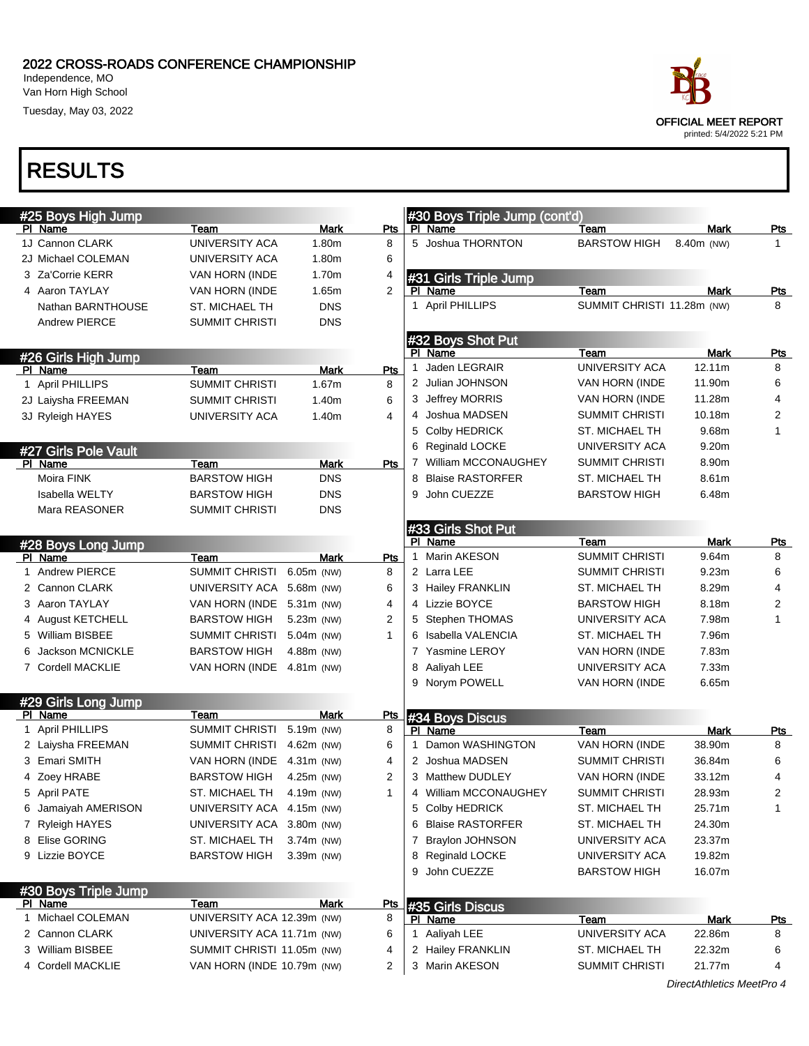Independence, MO Van Horn High School

Tuesday, May 03, 2022



printed: 5/4/2022 5:21 PM

|   | #25 Boys High Jump    |                            |              |                |              | #30 Boys Triple Jump (cont'd) |                            |                   |              |
|---|-----------------------|----------------------------|--------------|----------------|--------------|-------------------------------|----------------------------|-------------------|--------------|
|   | PI Name               | Team                       | Mark         | Pts            |              | PI Name                       | Team                       | Mark              | <u>Pts</u>   |
|   | 1J Cannon CLARK       | UNIVERSITY ACA             | 1.80m        | 8              |              | 5 Joshua THORNTON             | <b>BARSTOW HIGH</b>        | 8.40m (NW)        | 1.           |
|   | 2J Michael COLEMAN    | UNIVERSITY ACA             | 1.80m        | 6              |              |                               |                            |                   |              |
|   | 3 Za'Corrie KERR      | VAN HORN (INDE             | 1.70m        | 4              |              | #31 Girls Triple Jump         |                            |                   |              |
|   | 4 Aaron TAYLAY        | VAN HORN (INDE             | 1.65m        | $\overline{2}$ |              | PI Name                       | Team                       | Mark              | <b>Pts</b>   |
|   | Nathan BARNTHOUSE     | <b>ST. MICHAEL TH</b>      | <b>DNS</b>   |                |              | 1 April PHILLIPS              | SUMMIT CHRISTI 11.28m (NW) |                   | 8            |
|   | <b>Andrew PIERCE</b>  | <b>SUMMIT CHRISTI</b>      | <b>DNS</b>   |                |              |                               |                            |                   |              |
|   |                       |                            |              |                |              | #32 Boys Shot Put             |                            |                   |              |
|   | #26 Girls High Jump   |                            |              |                |              | PI Name                       | Team                       | Mark              | <u>Pts</u>   |
|   | PI Name               | Team                       | <b>Mark</b>  | Pts            | 1            | Jaden LEGRAIR                 | UNIVERSITY ACA             | 12.11m            | 8            |
|   | 1 April PHILLIPS      | <b>SUMMIT CHRISTI</b>      | 1.67m        | 8              |              | 2 Julian JOHNSON              | VAN HORN (INDE             | 11.90m            | 6            |
|   | 2J Laiysha FREEMAN    | <b>SUMMIT CHRISTI</b>      | 1.40m        | 6              |              | 3 Jeffrey MORRIS              | VAN HORN (INDE             | 11.28m            | 4            |
|   | 3J Ryleigh HAYES      | UNIVERSITY ACA             | 1.40m        | 4              |              | 4 Joshua MADSEN               | <b>SUMMIT CHRISTI</b>      | 10.18m            | 2            |
|   |                       |                            |              |                |              | 5 Colby HEDRICK               | ST. MICHAEL TH             | 9.68m             | 1            |
|   | #27 Girls Pole Vault  |                            |              |                |              | 6 Reginald LOCKE              | UNIVERSITY ACA             | 9.20 <sub>m</sub> |              |
|   | PI Name               | Team                       | Mark         | Pts            |              | William MCCONAUGHEY           | SUMMIT CHRISTI             | 8.90m             |              |
|   | Moira FINK            | <b>BARSTOW HIGH</b>        | <b>DNS</b>   |                |              | 8 Blaise RASTORFER            | ST. MICHAEL TH             | 8.61m             |              |
|   | <b>Isabella WELTY</b> | <b>BARSTOW HIGH</b>        | DNS          |                | 9            | John CUEZZE                   | <b>BARSTOW HIGH</b>        | 6.48m             |              |
|   | Mara REASONER         | <b>SUMMIT CHRISTI</b>      | <b>DNS</b>   |                |              |                               |                            |                   |              |
|   |                       |                            |              |                |              | #33 Girls Shot Put            |                            |                   |              |
|   | #28 Boys Long Jump    |                            |              |                |              | PI Name                       | Team                       | Mark              | <u>Pts</u>   |
|   | PI Name               | Team                       | <b>Mark</b>  | Pts            | $\mathbf{1}$ | Marin AKESON                  | <b>SUMMIT CHRISTI</b>      | 9.64m             | 8            |
|   | 1 Andrew PIERCE       | <b>SUMMIT CHRISTI</b>      | 6.05m (NW)   | 8              |              | 2 Larra LEE                   | <b>SUMMIT CHRISTI</b>      | 9.23m             | 6            |
|   | 2 Cannon CLARK        | UNIVERSITY ACA 5.68m (NW)  |              | 6              |              | 3 Hailey FRANKLIN             | ST. MICHAEL TH             | 8.29m             | 4            |
|   | 3 Aaron TAYLAY        | VAN HORN (INDE 5.31m (NW)  |              | 4              |              | 4 Lizzie BOYCE                | <b>BARSTOW HIGH</b>        | 8.18m             | 2            |
|   | 4 August KETCHELL     | <b>BARSTOW HIGH</b>        | 5.23m (NW)   | 2              |              | 5 Stephen THOMAS              | UNIVERSITY ACA             | 7.98m             | 1            |
|   | 5 William BISBEE      | SUMMIT CHRISTI             | 5.04m (NW)   | 1              |              | 6 Isabella VALENCIA           | ST. MICHAEL TH             | 7.96m             |              |
| 6 | Jackson MCNICKLE      | <b>BARSTOW HIGH</b>        | 4.88m (NW)   |                |              | 7 Yasmine LEROY               | VAN HORN (INDE             | 7.83m             |              |
|   | 7 Cordell MACKLIE     | VAN HORN (INDE 4.81m (NW)  |              |                | 8            | Aaliyah LEE                   | UNIVERSITY ACA             | 7.33m             |              |
|   |                       |                            |              |                |              | 9 Norym POWELL                | VAN HORN (INDE             | 6.65m             |              |
|   | #29 Girls Long Jump   |                            |              |                |              |                               |                            |                   |              |
|   | PI Name               | Team                       | <b>Mark</b>  | Pts            |              | #34 Boys Discus               |                            |                   |              |
|   | 1 April PHILLIPS      | <b>SUMMIT CHRISTI</b>      | 5.19m (NW)   | 8              |              | PI Name                       | Team                       | Mark              | <b>Pts</b>   |
|   | 2 Laiysha FREEMAN     | SUMMIT CHRISTI             | 4.62m (NW)   | 6              | 1            | Damon WASHINGTON              | VAN HORN (INDE             | 38.90m            | 8            |
|   | 3 Emari SMITH         | VAN HORN (INDE             | 4.31m (NW)   | 4              |              | 2 Joshua MADSEN               | <b>SUMMIT CHRISTI</b>      | 36.84m            | 6            |
|   | 4 Zoey HRABE          | <b>BARSTOW HIGH</b>        | 4.25m (NW)   | 2              |              | 3 Matthew DUDLEY              | VAN HORN (INDE             | 33.12m            | 4            |
|   | 5 April PATE          | ST. MICHAEL TH             | 4.19m (NW)   | 1              |              | 4 William MCCONAUGHEY         | <b>SUMMIT CHRISTI</b>      | 28.93m            | 2            |
|   | 6 Jamaiyah AMERISON   | UNIVERSITY ACA 4.15m (NW)  |              |                |              | 5 Colby HEDRICK               | ST. MICHAEL TH             | 25.71m            | $\mathbf{1}$ |
|   | 7 Ryleigh HAYES       | UNIVERSITY ACA 3.80m (NW)  |              |                | 6            | <b>Blaise RASTORFER</b>       | ST. MICHAEL TH             | 24.30m            |              |
|   | 8 Elise GORING        | ST. MICHAEL TH             | $3.74m$ (NW) |                | 7            | <b>Braylon JOHNSON</b>        | UNIVERSITY ACA             | 23.37m            |              |
|   | 9 Lizzie BOYCE        | <b>BARSTOW HIGH</b>        | $3.39m$ (NW) |                |              | 8 Reginald LOCKE              | <b>UNIVERSITY ACA</b>      | 19.82m            |              |
|   |                       |                            |              |                | 9            | John CUEZZE                   | <b>BARSTOW HIGH</b>        | 16.07m            |              |
|   | #30 Boys Triple Jump  |                            |              |                |              |                               |                            |                   |              |
|   | PI Name               | Team                       | Mark         | <u>Pts</u>     |              | #35 Girls Discus              |                            |                   |              |
|   | 1 Michael COLEMAN     | UNIVERSITY ACA 12.39m (NW) |              | 8              |              | PI Name                       | Team                       | Mark              | <u>Pts</u>   |
|   | 2 Cannon CLARK        | UNIVERSITY ACA 11.71m (NW) |              | 6              |              | 1 Aaliyah LEE                 | UNIVERSITY ACA             | 22.86m            | 8            |
|   | 3 William BISBEE      | SUMMIT CHRISTI 11.05m (NW) |              | 4              |              | 2 Hailey FRANKLIN             | ST. MICHAEL TH             | 22.32m            | 6            |
|   | 4 Cordell MACKLIE     | VAN HORN (INDE 10.79m (NW) |              | 2              |              | 3 Marin AKESON                | <b>SUMMIT CHRISTI</b>      | 21.77m            | 4            |
|   |                       |                            |              |                |              |                               |                            |                   |              |